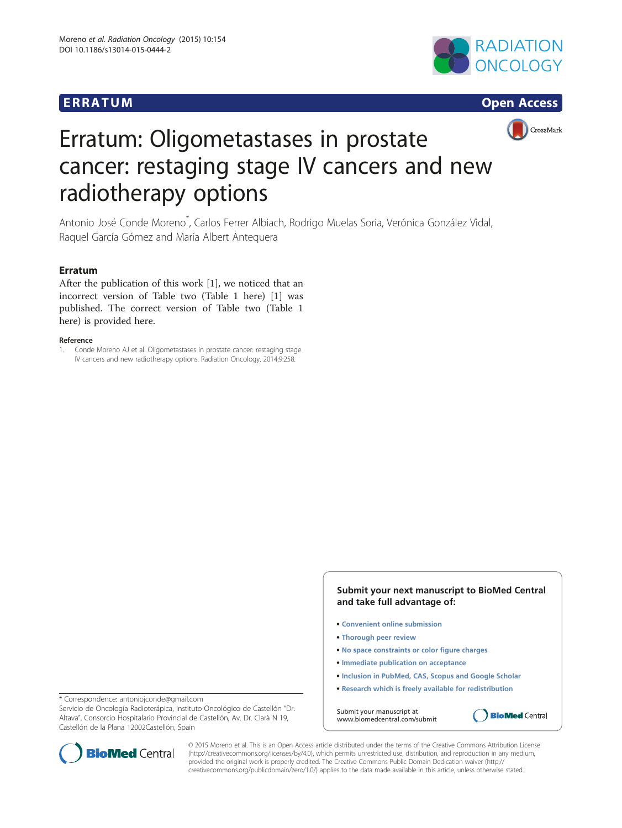# **ERRATUM CONSUMING CONSUMING CONSUMING CONSUMING CONSUMING CONSUMING CONSUMING CONSUMING CONSUMING CONSUMING CONSUMING CONSUMING CONSUMING CONSUMING CONSUMING CONSUMING CONSUMING CONSUMING CONSUMING CONSUMING CONSUMING C**







# Erratum: Oligometastases in prostate cancer: restaging stage IV cancers and new radiotherapy options

Antonio José Conde Moreno<sup>\*</sup>, Carlos Ferrer Albiach, Rodrigo Muelas Soria, Verónica González Vidal, Raquel García Gómez and María Albert Antequera

## Erratum

After the publication of this work [1], we noticed that an incorrect version of Table two (Table [1](#page-1-0) here) [1] was published. The correct version of Table two (Table [1](#page-1-0) here) is provided here.

#### Reference

1. Conde Moreno AJ et al. Oligometastases in prostate cancer: restaging stage IV cancers and new radiotherapy options. Radiation Oncology. 2014;9:258.

> **Submit your next manuscript to BioMed Central and take full advantage of:**

- **Convenient online submission**
- **Thorough peer review**
- **No space constraints or color figure charges**
- **Immediate publication on acceptance**
- **Inclusion in PubMed, CAS, Scopus and Google Scholar**
- **Research which is freely available for redistribution**

**BioMed** Central

Submit your manuscript at www.biomedcentral.com/submit

\* Correspondence: [antoniojconde@gmail.com](mailto:antoniojconde@gmail.com)

Servicio de Oncología Radioterápica, Instituto Oncológico de Castellón "Dr. Altava", Consorcio Hospitalario Provincial de Castellón, Av. Dr. Clarà N 19, Castellón de la Plana 12002Castellón, Spain



© 2015 Moreno et al. This is an Open Access article distributed under the terms of the Creative Commons Attribution License [\(http://creativecommons.org/licenses/by/4.0\)](http://creativecommons.org/licenses/by/4.0), which permits unrestricted use, distribution, and reproduction in any medium, provided the original work is properly credited. The Creative Commons Public Domain Dedication waiver [\(http://](http://creativecommons.org/publicdomain/zero/1.0/) [creativecommons.org/publicdomain/zero/1.0/\)](http://creativecommons.org/publicdomain/zero/1.0/) applies to the data made available in this article, unless otherwise stated.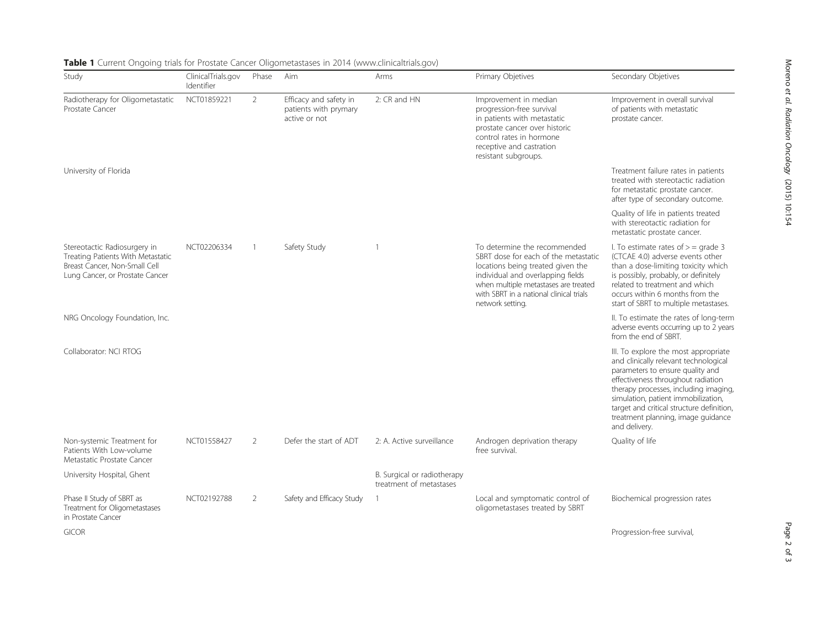| Study                                                                                                                                 | ClinicalTrials.gov<br>Identifier | Phase          | Aim                                                              | Arms                                                   | Primary Objetives                                                                                                                                                                                                                                     | Secondary Objetives                                                                                                                                                                                                                                                                                                                         |
|---------------------------------------------------------------------------------------------------------------------------------------|----------------------------------|----------------|------------------------------------------------------------------|--------------------------------------------------------|-------------------------------------------------------------------------------------------------------------------------------------------------------------------------------------------------------------------------------------------------------|---------------------------------------------------------------------------------------------------------------------------------------------------------------------------------------------------------------------------------------------------------------------------------------------------------------------------------------------|
| Radiotherapy for Oligometastatic<br>Prostate Cancer                                                                                   | NCT01859221                      | $\overline{2}$ | Efficacy and safety in<br>patients with prymary<br>active or not | 2: CR and HN                                           | Improvement in median<br>progression-free survival<br>in patients with metastatic<br>prostate cancer over historic<br>control rates in hormone<br>receptive and castration<br>resistant subgroups.                                                    | Improvement in overall survival<br>of patients with metastatic<br>prostate cancer.                                                                                                                                                                                                                                                          |
| University of Florida                                                                                                                 |                                  |                |                                                                  |                                                        |                                                                                                                                                                                                                                                       | Treatment failure rates in patients<br>treated with stereotactic radiation<br>for metastatic prostate cancer.<br>after type of secondary outcome.                                                                                                                                                                                           |
|                                                                                                                                       |                                  |                |                                                                  |                                                        |                                                                                                                                                                                                                                                       | Quality of life in patients treated<br>with stereotactic radiation for<br>metastatic prostate cancer.                                                                                                                                                                                                                                       |
| Stereotactic Radiosurgery in<br>Treating Patients With Metastatic<br>Breast Cancer, Non-Small Cell<br>Lung Cancer, or Prostate Cancer | NCT02206334                      | -1             | Safety Study                                                     |                                                        | To determine the recommended<br>SBRT dose for each of the metastatic<br>locations being treated given the<br>individual and overlapping fields<br>when multiple metastases are treated<br>with SBRT in a national clinical trials<br>network setting. | I. To estimate rates of $>$ = grade 3<br>(CTCAE 4.0) adverse events other<br>than a dose-limiting toxicity which<br>is possibly, probably, or definitely<br>related to treatment and which<br>occurs within 6 months from the<br>start of SBRT to multiple metastases.                                                                      |
| NRG Oncology Foundation, Inc.                                                                                                         |                                  |                |                                                                  |                                                        |                                                                                                                                                                                                                                                       | II. To estimate the rates of long-term<br>adverse events occurring up to 2 years<br>from the end of SBRT.                                                                                                                                                                                                                                   |
| Collaborator: NCI RTOG                                                                                                                |                                  |                |                                                                  |                                                        |                                                                                                                                                                                                                                                       | III. To explore the most appropriate<br>and clinically relevant technological<br>parameters to ensure quality and<br>effectiveness throughout radiation<br>therapy processes, including imaging,<br>simulation, patient immobilization,<br>target and critical structure definition,<br>treatment planning, image guidance<br>and delivery. |
| Non-systemic Treatment for<br>Patients With Low-volume<br>Metastatic Prostate Cancer                                                  | NCT01558427                      | 2              | Defer the start of ADT                                           | 2: A. Active surveillance                              | Androgen deprivation therapy<br>free survival.                                                                                                                                                                                                        | Quality of life                                                                                                                                                                                                                                                                                                                             |
| University Hospital, Ghent                                                                                                            |                                  |                |                                                                  | B. Surgical or radiotherapy<br>treatment of metastases |                                                                                                                                                                                                                                                       |                                                                                                                                                                                                                                                                                                                                             |
| Phase II Study of SBRT as<br>Treatment for Oligometastases<br>in Prostate Cancer                                                      | NCT02192788                      | $\overline{2}$ | Safety and Efficacy Study                                        | $\mathbf{1}$                                           | Local and symptomatic control of<br>oligometastases treated by SBRT                                                                                                                                                                                   | Biochemical progression rates                                                                                                                                                                                                                                                                                                               |
| <b>GICOR</b>                                                                                                                          |                                  |                |                                                                  |                                                        |                                                                                                                                                                                                                                                       | Progression-free survival,                                                                                                                                                                                                                                                                                                                  |

## <span id="page-1-0"></span>Table 1 Current Ongoing trials for Prostate Cancer Oligometastases in 2014 [\(www.clinicaltrials.gov\)](http://www.clinicaltrials.gov)